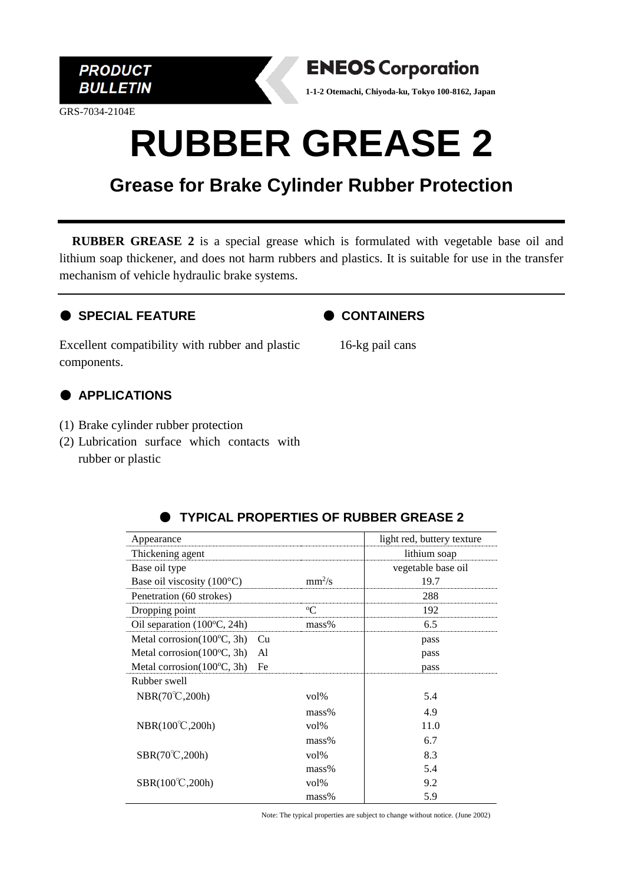

GRS-7034-2104E



**1-1-2 Otemachi, Chiyoda-ku, Tokyo 100-8162, Japan**

# **RUBBER GREASE 2**

### **Grease for Brake Cylinder Rubber Protection**

**RUBBER GREASE 2** is a special grease which is formulated with vegetable base oil and lithium soap thickener, and does not harm rubbers and plastics. It is suitable for use in the transfer mechanism of vehicle hydraulic brake systems.

#### ● **SPECIAL FEATURE**



Excellent compatibility with rubber and plastic components.

16-kg pail cans

### ● **APPLICATIONS**

- (1) Brake cylinder rubber protection
- (2) Lubrication surface which contacts with rubber or plastic

| Appearance                                 |                  | light red, buttery texture |
|--------------------------------------------|------------------|----------------------------|
| Thickening agent                           |                  | lithium soap               |
| Base oil type                              |                  | vegetable base oil         |
| Base oil viscosity $(100^{\circ}C)$        | $mm^2/s$         | 19.7                       |
| Penetration (60 strokes)                   |                  | 288                        |
| Dropping point                             | $^{\rm o}$ C     | 192                        |
| Oil separation $(100^{\circ}C, 24h)$       | mass%            | 6.5                        |
| Metal corrosion $(100^{\circ}C, 3h)$<br>Cu |                  | pass                       |
| Metal corrosion $(100^{\circ}C, 3h)$<br>A1 |                  | pass                       |
| Metal corrosion $(100^{\circ}C, 3h)$<br>Fe |                  | pass                       |
| Rubber swell                               |                  |                            |
| $NBR(70^{\circ}\text{C},200h)$             | $\mathrm{vol}\%$ | 5.4                        |
|                                            | $mass\%$         | 4.9                        |
| NBR(100°C,200h)                            | $\mathrm{vol}\%$ | 11.0                       |
|                                            | $mass\%$         | 6.7                        |
| $SBR(70^{\circ}\text{C},200h)$             | $\mathrm{vol}\%$ | 8.3                        |
|                                            | $mass\%$         | 5.4                        |
| $SBR(100^{\circ}C, 200h)$                  | $\mathrm{vol}\%$ | 9.2                        |
|                                            | $mass\%$         | 5.9                        |

#### **TYPICAL PROPERTIES OF RUBBER GREASE 2**

Note: The typical properties are subject to change without notice. (June 2002)